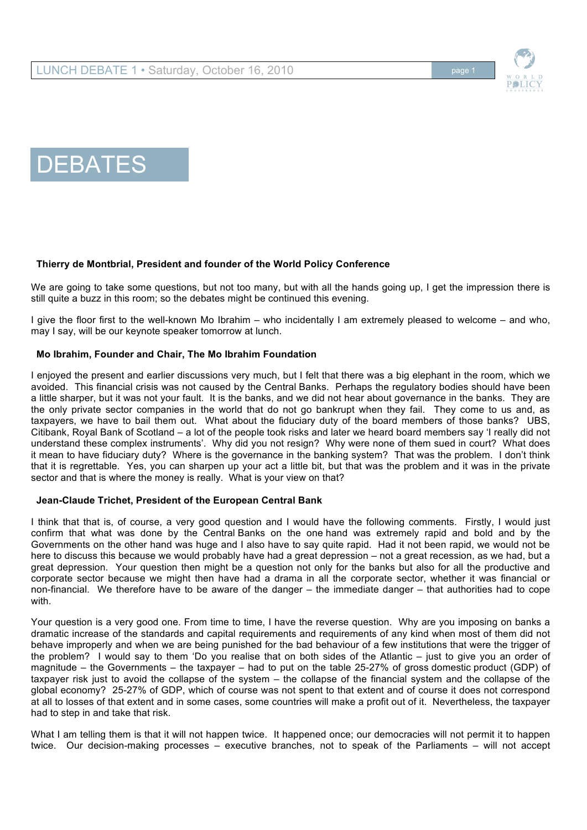

# DEBATES

## **Thierry de Montbrial, President and founder of the World Policy Conference**

We are going to take some questions, but not too many, but with all the hands going up, I get the impression there is still quite a buzz in this room; so the debates might be continued this evening.

I give the floor first to the well-known Mo Ibrahim – who incidentally I am extremely pleased to welcome – and who, may I say, will be our keynote speaker tomorrow at lunch.

#### **Mo Ibrahim, Founder and Chair, The Mo Ibrahim Foundation**

I enjoyed the present and earlier discussions very much, but I felt that there was a big elephant in the room, which we avoided. This financial crisis was not caused by the Central Banks. Perhaps the regulatory bodies should have been a little sharper, but it was not your fault. It is the banks, and we did not hear about governance in the banks. They are the only private sector companies in the world that do not go bankrupt when they fail. They come to us and, as taxpayers, we have to bail them out. What about the fiduciary duty of the board members of those banks? UBS, Citibank, Royal Bank of Scotland – a lot of the people took risks and later we heard board members say 'I really did not understand these complex instruments'. Why did you not resign? Why were none of them sued in court? What does it mean to have fiduciary duty? Where is the governance in the banking system? That was the problem. I don't think that it is regrettable. Yes, you can sharpen up your act a little bit, but that was the problem and it was in the private sector and that is where the money is really. What is your view on that?

#### **Jean-Claude Trichet, President of the European Central Bank**

I think that that is, of course, a very good question and I would have the following comments. Firstly, I would just confirm that what was done by the Central Banks on the one hand was extremely rapid and bold and by the Governments on the other hand was huge and I also have to say quite rapid. Had it not been rapid, we would not be here to discuss this because we would probably have had a great depression – not a great recession, as we had, but a great depression. Your question then might be a question not only for the banks but also for all the productive and corporate sector because we might then have had a drama in all the corporate sector, whether it was financial or non-financial. We therefore have to be aware of the danger – the immediate danger – that authorities had to cope with.

Your question is a very good one. From time to time, I have the reverse question. Why are you imposing on banks a dramatic increase of the standards and capital requirements and requirements of any kind when most of them did not behave improperly and when we are being punished for the bad behaviour of a few institutions that were the trigger of the problem? I would say to them 'Do you realise that on both sides of the Atlantic – just to give you an order of magnitude – the Governments – the taxpayer – had to put on the table 25-27% of gross domestic product (GDP) of taxpayer risk just to avoid the collapse of the system – the collapse of the financial system and the collapse of the global economy? 25-27% of GDP, which of course was not spent to that extent and of course it does not correspond at all to losses of that extent and in some cases, some countries will make a profit out of it. Nevertheless, the taxpayer had to step in and take that risk.

What I am telling them is that it will not happen twice. It happened once; our democracies will not permit it to happen twice. Our decision-making processes – executive branches, not to speak of the Parliaments – will not accept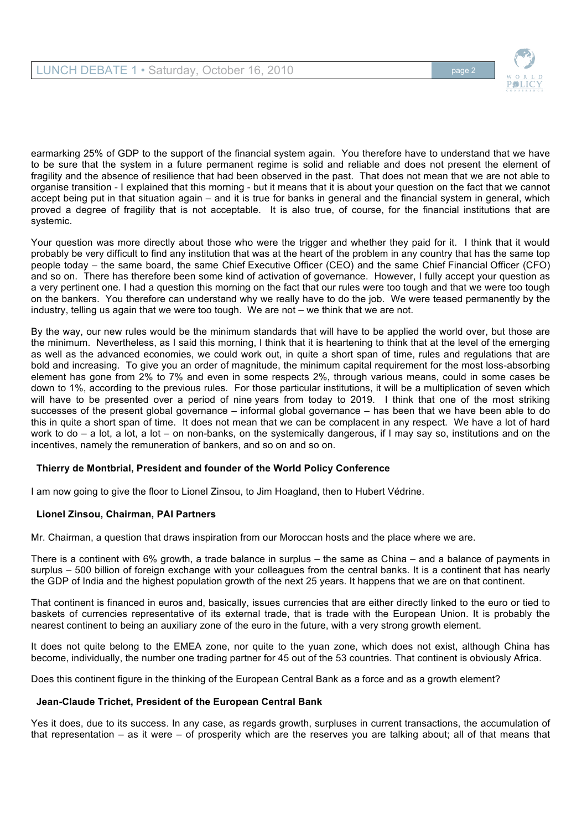

earmarking 25% of GDP to the support of the financial system again. You therefore have to understand that we have to be sure that the system in a future permanent regime is solid and reliable and does not present the element of fragility and the absence of resilience that had been observed in the past. That does not mean that we are not able to organise transition - I explained that this morning - but it means that it is about your question on the fact that we cannot accept being put in that situation again – and it is true for banks in general and the financial system in general, which proved a degree of fragility that is not acceptable. It is also true, of course, for the financial institutions that are systemic.

Your question was more directly about those who were the trigger and whether they paid for it. I think that it would probably be very difficult to find any institution that was at the heart of the problem in any country that has the same top people today – the same board, the same Chief Executive Officer (CEO) and the same Chief Financial Officer (CFO) and so on. There has therefore been some kind of activation of governance. However, I fully accept your question as a very pertinent one. I had a question this morning on the fact that our rules were too tough and that we were too tough on the bankers. You therefore can understand why we really have to do the job. We were teased permanently by the industry, telling us again that we were too tough. We are not – we think that we are not.

By the way, our new rules would be the minimum standards that will have to be applied the world over, but those are the minimum. Nevertheless, as I said this morning, I think that it is heartening to think that at the level of the emerging as well as the advanced economies, we could work out, in quite a short span of time, rules and regulations that are bold and increasing. To give you an order of magnitude, the minimum capital requirement for the most loss-absorbing element has gone from 2% to 7% and even in some respects 2%, through various means, could in some cases be down to 1%, according to the previous rules. For those particular institutions, it will be a multiplication of seven which will have to be presented over a period of nine years from today to 2019. I think that one of the most striking successes of the present global governance – informal global governance – has been that we have been able to do this in quite a short span of time. It does not mean that we can be complacent in any respect. We have a lot of hard work to do – a lot, a lot, a lot – on non-banks, on the systemically dangerous, if I may say so, institutions and on the incentives, namely the remuneration of bankers, and so on and so on.

## **Thierry de Montbrial, President and founder of the World Policy Conference**

I am now going to give the floor to Lionel Zinsou, to Jim Hoagland, then to Hubert Védrine.

## **Lionel Zinsou, Chairman, PAI Partners**

Mr. Chairman, a question that draws inspiration from our Moroccan hosts and the place where we are.

There is a continent with 6% growth, a trade balance in surplus – the same as China – and a balance of payments in surplus – 500 billion of foreign exchange with your colleagues from the central banks. It is a continent that has nearly the GDP of India and the highest population growth of the next 25 years. It happens that we are on that continent.

That continent is financed in euros and, basically, issues currencies that are either directly linked to the euro or tied to baskets of currencies representative of its external trade, that is trade with the European Union. It is probably the nearest continent to being an auxiliary zone of the euro in the future, with a very strong growth element.

It does not quite belong to the EMEA zone, nor quite to the yuan zone, which does not exist, although China has become, individually, the number one trading partner for 45 out of the 53 countries. That continent is obviously Africa.

Does this continent figure in the thinking of the European Central Bank as a force and as a growth element?

## **Jean-Claude Trichet, President of the European Central Bank**

Yes it does, due to its success. In any case, as regards growth, surpluses in current transactions, the accumulation of that representation – as it were – of prosperity which are the reserves you are talking about; all of that means that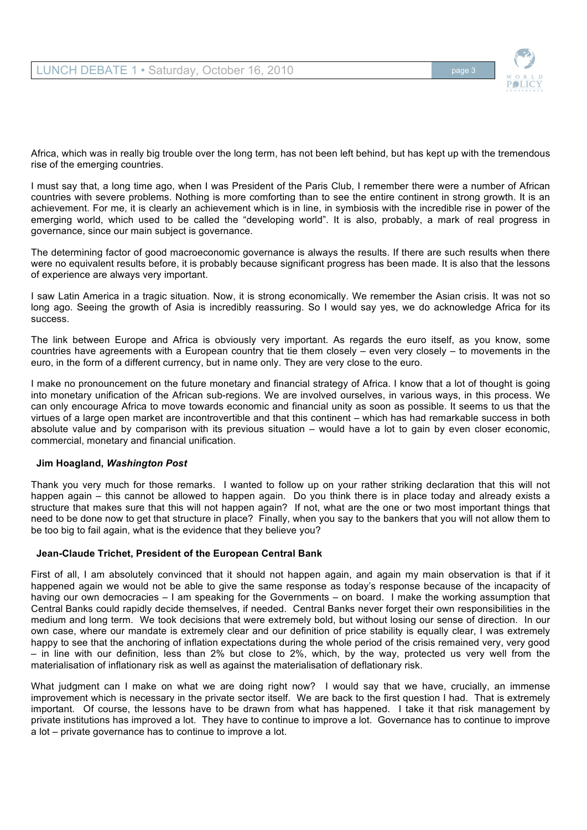

Africa, which was in really big trouble over the long term, has not been left behind, but has kept up with the tremendous rise of the emerging countries.

I must say that, a long time ago, when I was President of the Paris Club, I remember there were a number of African countries with severe problems. Nothing is more comforting than to see the entire continent in strong growth. It is an achievement. For me, it is clearly an achievement which is in line, in symbiosis with the incredible rise in power of the emerging world, which used to be called the "developing world". It is also, probably, a mark of real progress in governance, since our main subject is governance.

The determining factor of good macroeconomic governance is always the results. If there are such results when there were no equivalent results before, it is probably because significant progress has been made. It is also that the lessons of experience are always very important.

I saw Latin America in a tragic situation. Now, it is strong economically. We remember the Asian crisis. It was not so long ago. Seeing the growth of Asia is incredibly reassuring. So I would say yes, we do acknowledge Africa for its success.

The link between Europe and Africa is obviously very important. As regards the euro itself, as you know, some countries have agreements with a European country that tie them closely – even very closely – to movements in the euro, in the form of a different currency, but in name only. They are very close to the euro.

I make no pronouncement on the future monetary and financial strategy of Africa. I know that a lot of thought is going into monetary unification of the African sub-regions. We are involved ourselves, in various ways, in this process. We can only encourage Africa to move towards economic and financial unity as soon as possible. It seems to us that the virtues of a large open market are incontrovertible and that this continent – which has had remarkable success in both absolute value and by comparison with its previous situation – would have a lot to gain by even closer economic, commercial, monetary and financial unification.

#### **Jim Hoagland,** *Washington Post*

Thank you very much for those remarks. I wanted to follow up on your rather striking declaration that this will not happen again – this cannot be allowed to happen again. Do you think there is in place today and already exists a structure that makes sure that this will not happen again? If not, what are the one or two most important things that need to be done now to get that structure in place? Finally, when you say to the bankers that you will not allow them to be too big to fail again, what is the evidence that they believe you?

#### **Jean-Claude Trichet, President of the European Central Bank**

First of all, I am absolutely convinced that it should not happen again, and again my main observation is that if it happened again we would not be able to give the same response as today's response because of the incapacity of having our own democracies – I am speaking for the Governments – on board. I make the working assumption that Central Banks could rapidly decide themselves, if needed. Central Banks never forget their own responsibilities in the medium and long term. We took decisions that were extremely bold, but without losing our sense of direction. In our own case, where our mandate is extremely clear and our definition of price stability is equally clear, I was extremely happy to see that the anchoring of inflation expectations during the whole period of the crisis remained very, very good – in line with our definition, less than 2% but close to 2%, which, by the way, protected us very well from the materialisation of inflationary risk as well as against the materialisation of deflationary risk.

What judgment can I make on what we are doing right now? I would say that we have, crucially, an immense improvement which is necessary in the private sector itself. We are back to the first question I had. That is extremely important. Of course, the lessons have to be drawn from what has happened. I take it that risk management by private institutions has improved a lot. They have to continue to improve a lot. Governance has to continue to improve a lot – private governance has to continue to improve a lot.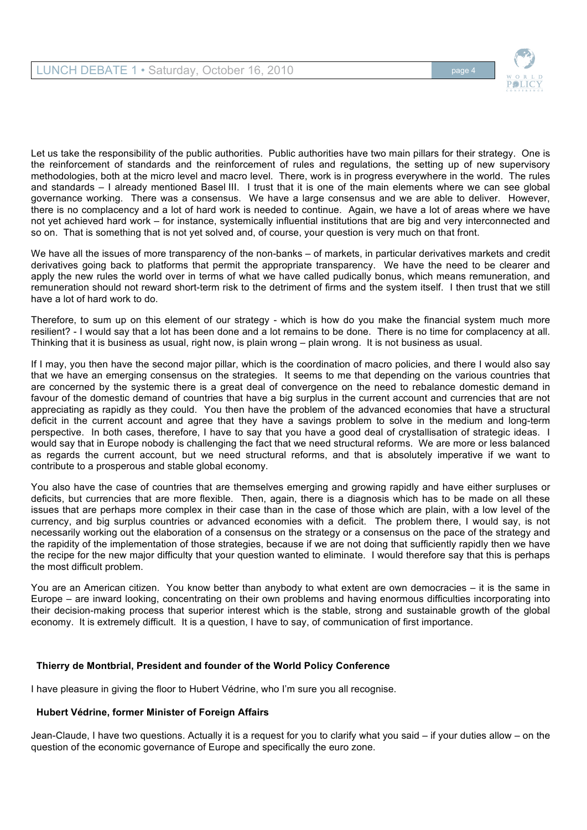

Let us take the responsibility of the public authorities. Public authorities have two main pillars for their strategy. One is the reinforcement of standards and the reinforcement of rules and regulations, the setting up of new supervisory methodologies, both at the micro level and macro level. There, work is in progress everywhere in the world. The rules and standards – I already mentioned Basel III. I trust that it is one of the main elements where we can see global governance working. There was a consensus. We have a large consensus and we are able to deliver. However, there is no complacency and a lot of hard work is needed to continue. Again, we have a lot of areas where we have not yet achieved hard work – for instance, systemically influential institutions that are big and very interconnected and so on. That is something that is not yet solved and, of course, your question is very much on that front.

We have all the issues of more transparency of the non-banks – of markets, in particular derivatives markets and credit derivatives going back to platforms that permit the appropriate transparency. We have the need to be clearer and apply the new rules the world over in terms of what we have called pudically bonus, which means remuneration, and remuneration should not reward short-term risk to the detriment of firms and the system itself. I then trust that we still have a lot of hard work to do.

Therefore, to sum up on this element of our strategy - which is how do you make the financial system much more resilient? - I would say that a lot has been done and a lot remains to be done. There is no time for complacency at all. Thinking that it is business as usual, right now, is plain wrong – plain wrong. It is not business as usual.

If I may, you then have the second major pillar, which is the coordination of macro policies, and there I would also say that we have an emerging consensus on the strategies. It seems to me that depending on the various countries that are concerned by the systemic there is a great deal of convergence on the need to rebalance domestic demand in favour of the domestic demand of countries that have a big surplus in the current account and currencies that are not appreciating as rapidly as they could. You then have the problem of the advanced economies that have a structural deficit in the current account and agree that they have a savings problem to solve in the medium and long-term perspective. In both cases, therefore, I have to say that you have a good deal of crystallisation of strategic ideas. I would say that in Europe nobody is challenging the fact that we need structural reforms. We are more or less balanced as regards the current account, but we need structural reforms, and that is absolutely imperative if we want to contribute to a prosperous and stable global economy.

You also have the case of countries that are themselves emerging and growing rapidly and have either surpluses or deficits, but currencies that are more flexible. Then, again, there is a diagnosis which has to be made on all these issues that are perhaps more complex in their case than in the case of those which are plain, with a low level of the currency, and big surplus countries or advanced economies with a deficit. The problem there, I would say, is not necessarily working out the elaboration of a consensus on the strategy or a consensus on the pace of the strategy and the rapidity of the implementation of those strategies, because if we are not doing that sufficiently rapidly then we have the recipe for the new major difficulty that your question wanted to eliminate. I would therefore say that this is perhaps the most difficult problem.

You are an American citizen. You know better than anybody to what extent are own democracies – it is the same in Europe – are inward looking, concentrating on their own problems and having enormous difficulties incorporating into their decision-making process that superior interest which is the stable, strong and sustainable growth of the global economy. It is extremely difficult. It is a question, I have to say, of communication of first importance.

## **Thierry de Montbrial, President and founder of the World Policy Conference**

I have pleasure in giving the floor to Hubert Védrine, who I'm sure you all recognise.

## **Hubert Védrine, former Minister of Foreign Affairs**

Jean-Claude, I have two questions. Actually it is a request for you to clarify what you said – if your duties allow – on the question of the economic governance of Europe and specifically the euro zone.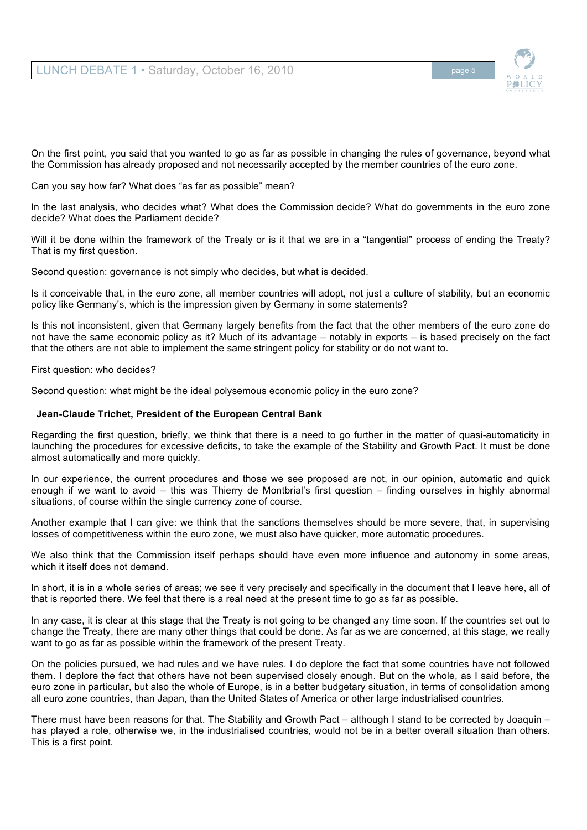

On the first point, you said that you wanted to go as far as possible in changing the rules of governance, beyond what the Commission has already proposed and not necessarily accepted by the member countries of the euro zone.

Can you say how far? What does "as far as possible" mean?

In the last analysis, who decides what? What does the Commission decide? What do governments in the euro zone decide? What does the Parliament decide?

Will it be done within the framework of the Treaty or is it that we are in a "tangential" process of ending the Treaty? That is my first question.

Second question: governance is not simply who decides, but what is decided.

Is it conceivable that, in the euro zone, all member countries will adopt, not just a culture of stability, but an economic policy like Germany's, which is the impression given by Germany in some statements?

Is this not inconsistent, given that Germany largely benefits from the fact that the other members of the euro zone do not have the same economic policy as it? Much of its advantage – notably in exports – is based precisely on the fact that the others are not able to implement the same stringent policy for stability or do not want to.

First question: who decides?

Second question: what might be the ideal polysemous economic policy in the euro zone?

#### **Jean-Claude Trichet, President of the European Central Bank**

Regarding the first question, briefly, we think that there is a need to go further in the matter of quasi-automaticity in launching the procedures for excessive deficits, to take the example of the Stability and Growth Pact. It must be done almost automatically and more quickly.

In our experience, the current procedures and those we see proposed are not, in our opinion, automatic and quick enough if we want to avoid – this was Thierry de Montbrial's first question – finding ourselves in highly abnormal situations, of course within the single currency zone of course.

Another example that I can give: we think that the sanctions themselves should be more severe, that, in supervising losses of competitiveness within the euro zone, we must also have quicker, more automatic procedures.

We also think that the Commission itself perhaps should have even more influence and autonomy in some areas, which it itself does not demand.

In short, it is in a whole series of areas; we see it very precisely and specifically in the document that I leave here, all of that is reported there. We feel that there is a real need at the present time to go as far as possible.

In any case, it is clear at this stage that the Treaty is not going to be changed any time soon. If the countries set out to change the Treaty, there are many other things that could be done. As far as we are concerned, at this stage, we really want to go as far as possible within the framework of the present Treaty.

On the policies pursued, we had rules and we have rules. I do deplore the fact that some countries have not followed them. I deplore the fact that others have not been supervised closely enough. But on the whole, as I said before, the euro zone in particular, but also the whole of Europe, is in a better budgetary situation, in terms of consolidation among all euro zone countries, than Japan, than the United States of America or other large industrialised countries.

There must have been reasons for that. The Stability and Growth Pact – although I stand to be corrected by Joaquin – has played a role, otherwise we, in the industrialised countries, would not be in a better overall situation than others. This is a first point.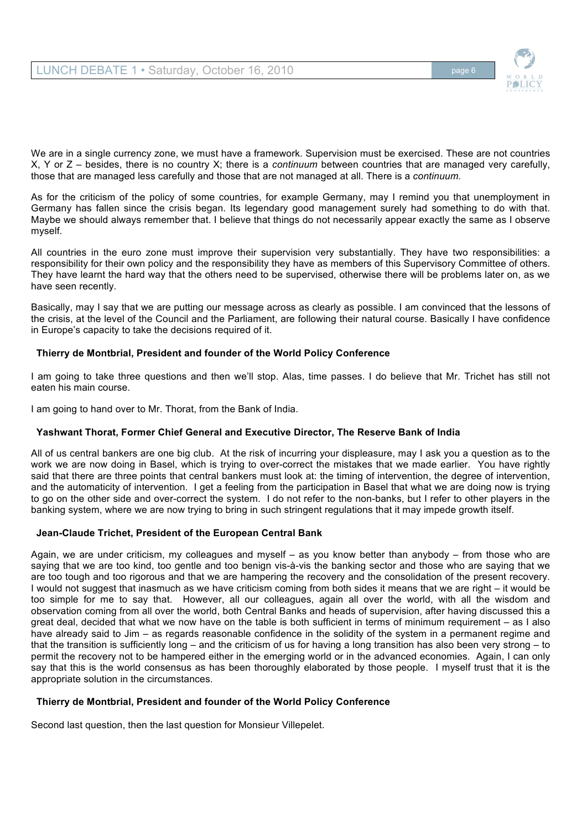

We are in a single currency zone, we must have a framework. Supervision must be exercised. These are not countries X, Y or Z – besides, there is no country X; there is a *continuum* between countries that are managed very carefully, those that are managed less carefully and those that are not managed at all. There is a *continuum.*

As for the criticism of the policy of some countries, for example Germany, may I remind you that unemployment in Germany has fallen since the crisis began. Its legendary good management surely had something to do with that. Maybe we should always remember that. I believe that things do not necessarily appear exactly the same as I observe myself.

All countries in the euro zone must improve their supervision very substantially. They have two responsibilities: a responsibility for their own policy and the responsibility they have as members of this Supervisory Committee of others. They have learnt the hard way that the others need to be supervised, otherwise there will be problems later on, as we have seen recently.

Basically, may I say that we are putting our message across as clearly as possible. I am convinced that the lessons of the crisis, at the level of the Council and the Parliament, are following their natural course. Basically I have confidence in Europe's capacity to take the decisions required of it.

## **Thierry de Montbrial, President and founder of the World Policy Conference**

I am going to take three questions and then we'll stop. Alas, time passes. I do believe that Mr. Trichet has still not eaten his main course.

I am going to hand over to Mr. Thorat, from the Bank of India.

## **Yashwant Thorat, Former Chief General and Executive Director, The Reserve Bank of India**

All of us central bankers are one big club. At the risk of incurring your displeasure, may I ask you a question as to the work we are now doing in Basel, which is trying to over-correct the mistakes that we made earlier. You have rightly said that there are three points that central bankers must look at: the timing of intervention, the degree of intervention, and the automaticity of intervention. I get a feeling from the participation in Basel that what we are doing now is trying to go on the other side and over-correct the system. I do not refer to the non-banks, but I refer to other players in the banking system, where we are now trying to bring in such stringent regulations that it may impede growth itself.

## **Jean-Claude Trichet, President of the European Central Bank**

Again, we are under criticism, my colleagues and myself – as you know better than anybody – from those who are saying that we are too kind, too gentle and too benign vis-à-vis the banking sector and those who are saying that we are too tough and too rigorous and that we are hampering the recovery and the consolidation of the present recovery. I would not suggest that inasmuch as we have criticism coming from both sides it means that we are right – it would be too simple for me to say that. However, all our colleagues, again all over the world, with all the wisdom and observation coming from all over the world, both Central Banks and heads of supervision, after having discussed this a great deal, decided that what we now have on the table is both sufficient in terms of minimum requirement – as I also have already said to Jim – as regards reasonable confidence in the solidity of the system in a permanent regime and that the transition is sufficiently long – and the criticism of us for having a long transition has also been very strong – to permit the recovery not to be hampered either in the emerging world or in the advanced economies. Again, I can only say that this is the world consensus as has been thoroughly elaborated by those people. I myself trust that it is the appropriate solution in the circumstances.

#### **Thierry de Montbrial, President and founder of the World Policy Conference**

Second last question, then the last question for Monsieur Villepelet.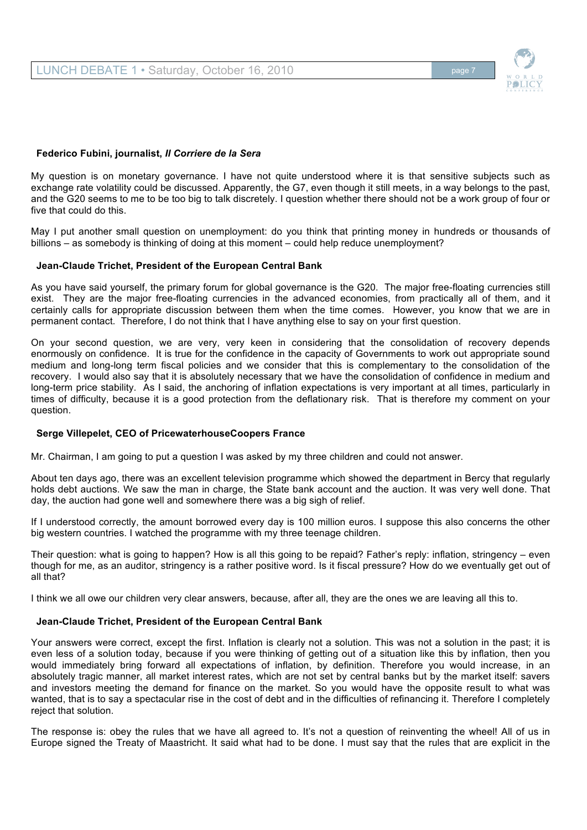

### **Federico Fubini, journalist,** *Il Corriere de la Sera*

My question is on monetary governance. I have not quite understood where it is that sensitive subjects such as exchange rate volatility could be discussed. Apparently, the G7, even though it still meets, in a way belongs to the past, and the G20 seems to me to be too big to talk discretely. I question whether there should not be a work group of four or five that could do this.

May I put another small question on unemployment: do you think that printing money in hundreds or thousands of billions – as somebody is thinking of doing at this moment – could help reduce unemployment?

#### **Jean-Claude Trichet, President of the European Central Bank**

As you have said yourself, the primary forum for global governance is the G20. The major free-floating currencies still exist. They are the major free-floating currencies in the advanced economies, from practically all of them, and it certainly calls for appropriate discussion between them when the time comes. However, you know that we are in permanent contact. Therefore, I do not think that I have anything else to say on your first question.

On your second question, we are very, very keen in considering that the consolidation of recovery depends enormously on confidence. It is true for the confidence in the capacity of Governments to work out appropriate sound medium and long-long term fiscal policies and we consider that this is complementary to the consolidation of the recovery. I would also say that it is absolutely necessary that we have the consolidation of confidence in medium and long-term price stability. As I said, the anchoring of inflation expectations is very important at all times, particularly in times of difficulty, because it is a good protection from the deflationary risk. That is therefore my comment on your question.

#### **Serge Villepelet, CEO of PricewaterhouseCoopers France**

Mr. Chairman, I am going to put a question I was asked by my three children and could not answer.

About ten days ago, there was an excellent television programme which showed the department in Bercy that regularly holds debt auctions. We saw the man in charge, the State bank account and the auction. It was very well done. That day, the auction had gone well and somewhere there was a big sigh of relief.

If I understood correctly, the amount borrowed every day is 100 million euros. I suppose this also concerns the other big western countries. I watched the programme with my three teenage children.

Their question: what is going to happen? How is all this going to be repaid? Father's reply: inflation, stringency – even though for me, as an auditor, stringency is a rather positive word. Is it fiscal pressure? How do we eventually get out of all that?

I think we all owe our children very clear answers, because, after all, they are the ones we are leaving all this to.

#### **Jean-Claude Trichet, President of the European Central Bank**

Your answers were correct, except the first. Inflation is clearly not a solution. This was not a solution in the past; it is even less of a solution today, because if you were thinking of getting out of a situation like this by inflation, then you would immediately bring forward all expectations of inflation, by definition. Therefore you would increase, in an absolutely tragic manner, all market interest rates, which are not set by central banks but by the market itself: savers and investors meeting the demand for finance on the market. So you would have the opposite result to what was wanted, that is to say a spectacular rise in the cost of debt and in the difficulties of refinancing it. Therefore I completely reject that solution.

The response is: obey the rules that we have all agreed to. It's not a question of reinventing the wheel! All of us in Europe signed the Treaty of Maastricht. It said what had to be done. I must say that the rules that are explicit in the